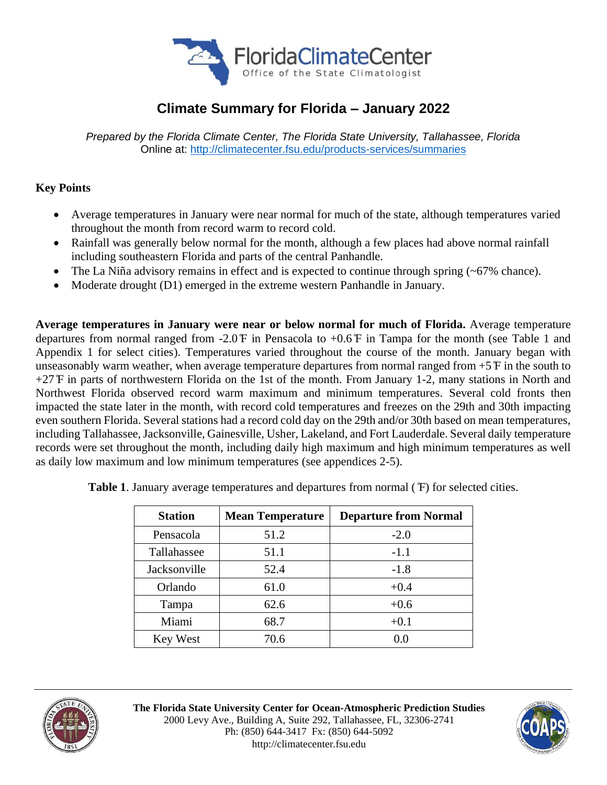

# **Climate Summary for Florida – January 2022**

*Prepared by the Florida Climate Center, The Florida State University, Tallahassee, Florida* Online at:<http://climatecenter.fsu.edu/products-services/summaries>

## **Key Points**

- Average temperatures in January were near normal for much of the state, although temperatures varied throughout the month from record warm to record cold.
- Rainfall was generally below normal for the month, although a few places had above normal rainfall including southeastern Florida and parts of the central Panhandle.
- The La Niña advisory remains in effect and is expected to continue through spring  $(-67\%$  chance).
- Moderate drought (D1) emerged in the extreme western Panhandle in January.

**Average temperatures in January were near or below normal for much of Florida.** Average temperature departures from normal ranged from -2.0 ̊F in Pensacola to +0.6 ̊F in Tampa for the month (see Table 1 and Appendix 1 for select cities). Temperatures varied throughout the course of the month. January began with unseasonably warm weather, when average temperature departures from normal ranged from +5 ̊F in the south to +27 ̊F in parts of northwestern Florida on the 1st of the month. From January 1-2, many stations in North and Northwest Florida observed record warm maximum and minimum temperatures. Several cold fronts then impacted the state later in the month, with record cold temperatures and freezes on the 29th and 30th impacting even southern Florida. Several stations had a record cold day on the 29th and/or 30th based on mean temperatures, including Tallahassee, Jacksonville, Gainesville, Usher, Lakeland, and Fort Lauderdale. Several daily temperature records were set throughout the month, including daily high maximum and high minimum temperatures as well as daily low maximum and low minimum temperatures (see appendices 2-5).

| <b>Station</b> | <b>Mean Temperature</b> | <b>Departure from Normal</b> |
|----------------|-------------------------|------------------------------|
| Pensacola      | 51.2                    | $-2.0$                       |
| Tallahassee    | 51.1                    | $-1.1$                       |
| Jacksonville   | 52.4                    | $-1.8$                       |
| Orlando        | 61.0                    | $+0.4$                       |
| Tampa          | 62.6                    | $+0.6$                       |
| Miami          | 68.7                    | $+0.1$                       |
| Key West       | 70.6                    | 0.0                          |

**Table 1**. January average temperatures and departures from normal ( ̊F) for selected cities.



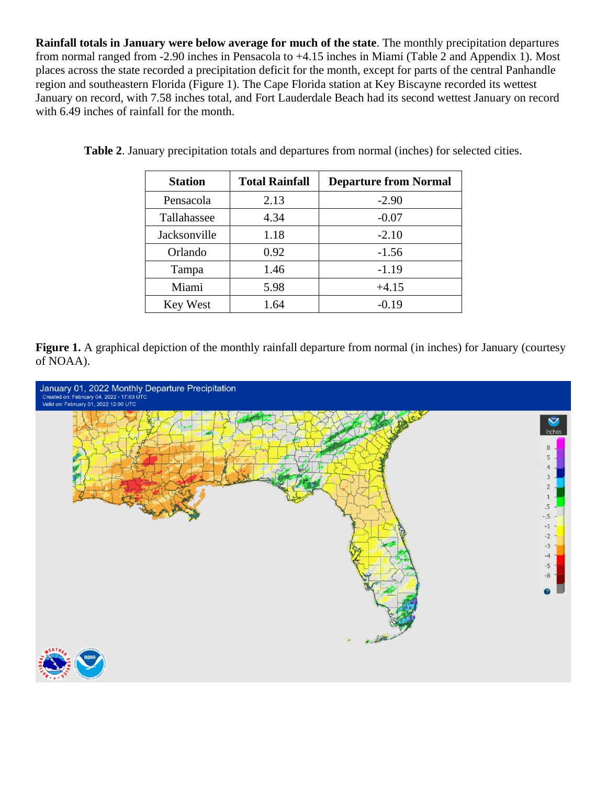**Rainfall totals in January were below average for much of the state**. The monthly precipitation departures from normal ranged from -2.90 inches in Pensacola to +4.15 inches in Miami (Table 2 and Appendix 1). Most places across the state recorded a precipitation deficit for the month, except for parts of the central Panhandle region and southeastern Florida (Figure 1). The Cape Florida station at Key Biscayne recorded its wettest January on record, with 7.58 inches total, and Fort Lauderdale Beach had its second wettest January on record with 6.49 inches of rainfall for the month.

| <b>Station</b> | <b>Total Rainfall</b> | <b>Departure from Normal</b> |
|----------------|-----------------------|------------------------------|
| Pensacola      | 2.13                  | $-2.90$                      |
| Tallahassee    | 4.34                  | $-0.07$                      |
| Jacksonville   | 1.18                  | $-2.10$                      |
| Orlando        | 0.92                  | $-1.56$                      |
| Tampa          | 1.46                  | $-1.19$                      |
| Miami          | 5.98                  | $+4.15$                      |
| Key West       | 1.64                  | $-0.19$                      |

**Table 2**. January precipitation totals and departures from normal (inches) for selected cities.

**Figure 1.** A graphical depiction of the monthly rainfall departure from normal (in inches) for January (courtesy of NOAA).

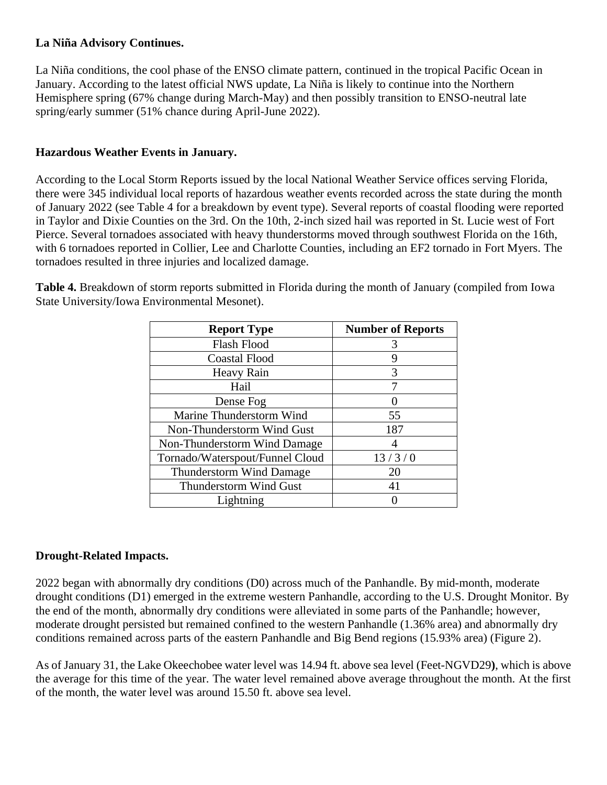### **La Niña Advisory Continues.**

La Niña conditions, the cool phase of the ENSO climate pattern, continued in the tropical Pacific Ocean in January. According to the latest official NWS update, La Niña is likely to continue into the Northern Hemisphere spring (67% change during March-May) and then possibly transition to ENSO-neutral late spring/early summer (51% chance during April-June 2022).

# **Hazardous Weather Events in January.**

According to the Local Storm Reports issued by the local National Weather Service offices serving Florida, there were 345 individual local reports of hazardous weather events recorded across the state during the month of January 2022 (see Table 4 for a breakdown by event type). Several reports of coastal flooding were reported in Taylor and Dixie Counties on the 3rd. On the 10th, 2-inch sized hail was reported in St. Lucie west of Fort Pierce. Several tornadoes associated with heavy thunderstorms moved through southwest Florida on the 16th, with 6 tornadoes reported in Collier, Lee and Charlotte Counties, including an EF2 tornado in Fort Myers. The tornadoes resulted in three injuries and localized damage.

**Table 4.** Breakdown of storm reports submitted in Florida during the month of January (compiled from Iowa State University/Iowa Environmental Mesonet).

| <b>Report Type</b>              | <b>Number of Reports</b> |
|---------------------------------|--------------------------|
| <b>Flash Flood</b>              |                          |
| <b>Coastal Flood</b>            | q                        |
| Heavy Rain                      | 3                        |
| Hail                            |                          |
| Dense Fog                       |                          |
| Marine Thunderstorm Wind        | 55                       |
| Non-Thunderstorm Wind Gust      | 187                      |
| Non-Thunderstorm Wind Damage    |                          |
| Tornado/Waterspout/Funnel Cloud | 13/3/0                   |
| <b>Thunderstorm Wind Damage</b> | 20                       |
| Thunderstorm Wind Gust          | 41                       |
| Lightning                       |                          |

### **Drought-Related Impacts.**

2022 began with abnormally dry conditions (D0) across much of the Panhandle. By mid-month, moderate drought conditions (D1) emerged in the extreme western Panhandle, according to the U.S. Drought Monitor. By the end of the month, abnormally dry conditions were alleviated in some parts of the Panhandle; however, moderate drought persisted but remained confined to the western Panhandle (1.36% area) and abnormally dry conditions remained across parts of the eastern Panhandle and Big Bend regions (15.93% area) (Figure 2).

As of January 31, the Lake Okeechobee water level was 14.94 ft. above sea level (Feet-NGVD29**)**, which is above the average for this time of the year. The water level remained above average throughout the month. At the first of the month, the water level was around 15.50 ft. above sea level.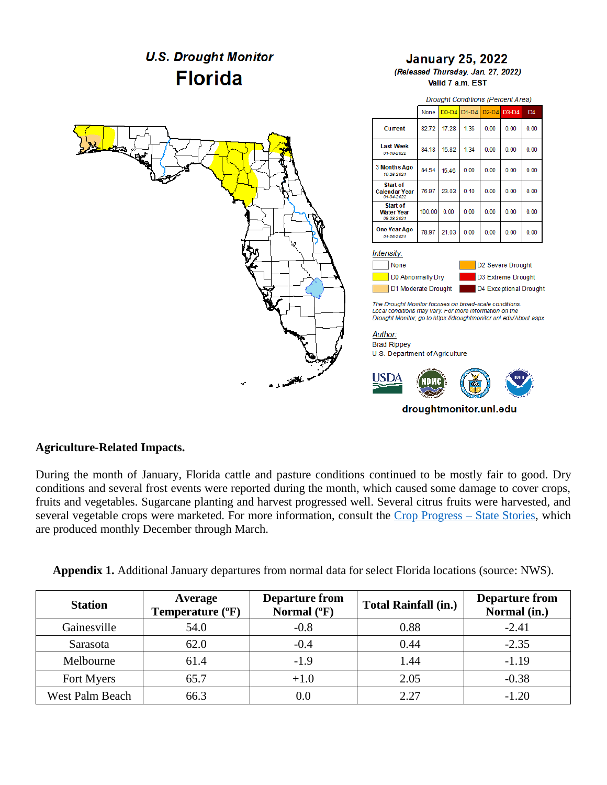

#### **Agriculture-Related Impacts.**

During the month of January, Florida cattle and pasture conditions continued to be mostly fair to good. Dry conditions and several frost events were reported during the month, which caused some damage to cover crops, fruits and vegetables. Sugarcane planting and harvest progressed well. Several citrus fruits were harvested, and several vegetable crops were marketed. For more information, consult the [Crop Progress –](https://usda.library.cornell.edu/concern/publications/fq977t77k) State Stories, which are produced monthly December through March.

|  |  |  |  |  | Appendix 1. Additional January departures from normal data for select Florida locations (source: NWS). |  |
|--|--|--|--|--|--------------------------------------------------------------------------------------------------------|--|
|--|--|--|--|--|--------------------------------------------------------------------------------------------------------|--|

| <b>Station</b>         | Average<br>Temperature (°F) | <b>Departure from</b><br>Normal $(^{\circ}F)$ | <b>Total Rainfall (in.)</b> | <b>Departure from</b><br>Normal (in.) |
|------------------------|-----------------------------|-----------------------------------------------|-----------------------------|---------------------------------------|
| Gainesville            | 54.0                        | $-0.8$                                        | 0.88                        | $-2.41$                               |
| Sarasota               | 62.0                        | $-0.4$                                        | 0.44                        | $-2.35$                               |
| Melbourne              | 61.4                        | $-1.9$                                        | 1.44                        | $-1.19$                               |
| Fort Myers             | 65.7                        | $+1.0$                                        | 2.05                        | $-0.38$                               |
| <b>West Palm Beach</b> | 66.3                        |                                               | 2.27                        | $-1.20$                               |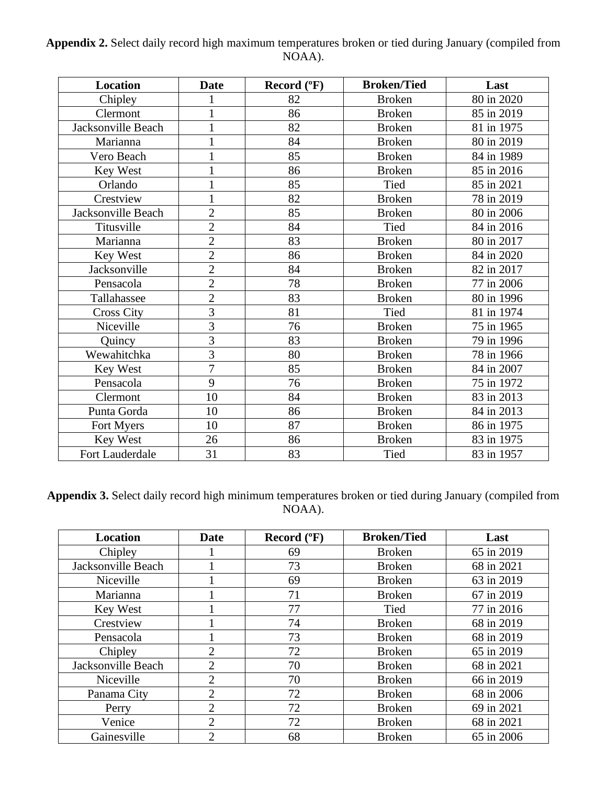| Appendix 2. Select daily record high maximum temperatures broken or tied during January (compiled from |        |  |
|--------------------------------------------------------------------------------------------------------|--------|--|
|                                                                                                        | NOAA). |  |

| <b>Location</b>    | <b>Date</b>    | Record (°F) | <b>Broken/Tied</b> | Last       |
|--------------------|----------------|-------------|--------------------|------------|
| Chipley            |                | 82          | <b>Broken</b>      | 80 in 2020 |
| Clermont           |                | 86          | <b>Broken</b>      | 85 in 2019 |
| Jacksonville Beach | 1              | 82          | <b>Broken</b>      | 81 in 1975 |
| Marianna           | 1              | 84          | <b>Broken</b>      | 80 in 2019 |
| Vero Beach         |                | 85          | <b>Broken</b>      | 84 in 1989 |
| Key West           | $\mathbf 1$    | 86          | <b>Broken</b>      | 85 in 2016 |
| Orlando            |                | 85          | Tied               | 85 in 2021 |
| Crestview          |                | 82          | <b>Broken</b>      | 78 in 2019 |
| Jacksonville Beach | $\overline{2}$ | 85          | <b>Broken</b>      | 80 in 2006 |
| Titusville         | $\overline{2}$ | 84          | Tied               | 84 in 2016 |
| Marianna           | $\overline{2}$ | 83          | <b>Broken</b>      | 80 in 2017 |
| Key West           | $\overline{2}$ | 86          | <b>Broken</b>      | 84 in 2020 |
| Jacksonville       | $\overline{2}$ | 84          | <b>Broken</b>      | 82 in 2017 |
| Pensacola          | $\overline{2}$ | 78          | <b>Broken</b>      | 77 in 2006 |
| Tallahassee        | $\overline{2}$ | 83          | <b>Broken</b>      | 80 in 1996 |
| <b>Cross City</b>  | 3              | 81          | Tied               | 81 in 1974 |
| Niceville          | 3              | 76          | <b>Broken</b>      | 75 in 1965 |
| Quincy             | 3              | 83          | <b>Broken</b>      | 79 in 1996 |
| Wewahitchka        | 3              | 80          | <b>Broken</b>      | 78 in 1966 |
| Key West           | $\overline{7}$ | 85          | <b>Broken</b>      | 84 in 2007 |
| Pensacola          | 9              | 76          | <b>Broken</b>      | 75 in 1972 |
| Clermont           | 10             | 84          | <b>Broken</b>      | 83 in 2013 |
| Punta Gorda        | 10             | 86          | <b>Broken</b>      | 84 in 2013 |
| Fort Myers         | 10             | 87          | <b>Broken</b>      | 86 in 1975 |
| Key West           | 26             | 86          | <b>Broken</b>      | 83 in 1975 |
| Fort Lauderdale    | 31             | 83          | Tied               | 83 in 1957 |

**Appendix 3.** Select daily record high minimum temperatures broken or tied during January (compiled from NOAA).

| <b>Location</b>    | Date                        | Record $(^{\circ}F)$ | <b>Broken/Tied</b> | Last       |
|--------------------|-----------------------------|----------------------|--------------------|------------|
| Chipley            |                             | 69                   | <b>Broken</b>      | 65 in 2019 |
| Jacksonville Beach |                             | 73                   | <b>Broken</b>      | 68 in 2021 |
| Niceville          |                             | 69                   | <b>Broken</b>      | 63 in 2019 |
| Marianna           |                             | 71                   | <b>Broken</b>      | 67 in 2019 |
| Key West           |                             | 77                   | Tied               | 77 in 2016 |
| Crestview          |                             | 74                   | <b>Broken</b>      | 68 in 2019 |
| Pensacola          |                             | 73                   | <b>Broken</b>      | 68 in 2019 |
| Chipley            | $\mathcal{D}_{\mathcal{L}}$ | 72                   | <b>Broken</b>      | 65 in 2019 |
| Jacksonville Beach | 2                           | 70                   | <b>Broken</b>      | 68 in 2021 |
| Niceville          | $\overline{2}$              | 70                   | <b>Broken</b>      | 66 in 2019 |
| Panama City        | っ                           | 72                   | <b>Broken</b>      | 68 in 2006 |
| Perry              | $\overline{2}$              | 72                   | <b>Broken</b>      | 69 in 2021 |
| Venice             | $\overline{2}$              | 72                   | <b>Broken</b>      | 68 in 2021 |
| Gainesville        | っ                           | 68                   | <b>Broken</b>      | 65 in 2006 |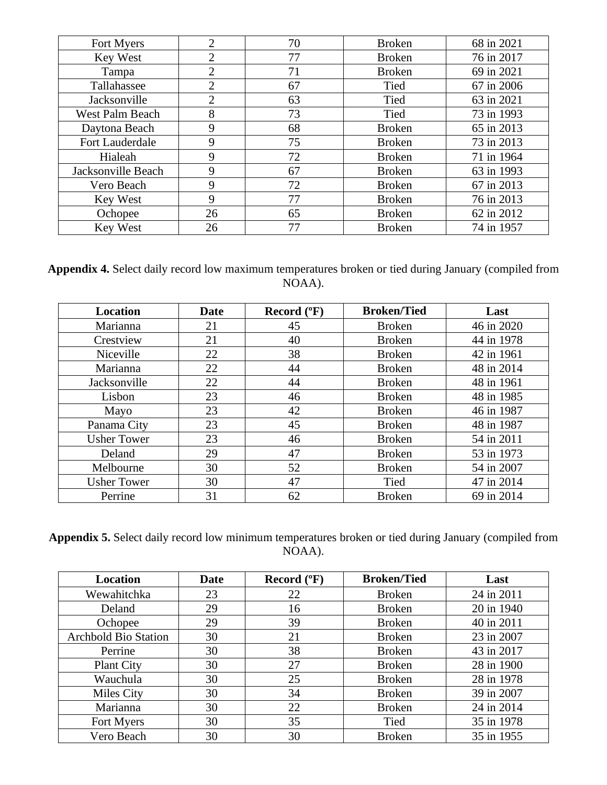| Fort Myers         | 2              | 70 | <b>Broken</b> | 68 in 2021 |
|--------------------|----------------|----|---------------|------------|
| Key West           | 2              | 77 | <b>Broken</b> | 76 in 2017 |
| Tampa              | $\overline{2}$ | 71 | <b>Broken</b> | 69 in 2021 |
| Tallahassee        | 2              | 67 | Tied          | 67 in 2006 |
| Jacksonville       | 2              | 63 | Tied          | 63 in 2021 |
| West Palm Beach    | 8              | 73 | Tied          | 73 in 1993 |
| Daytona Beach      | 9              | 68 | <b>Broken</b> | 65 in 2013 |
| Fort Lauderdale    | 9              | 75 | <b>Broken</b> | 73 in 2013 |
| Hialeah            | 9              | 72 | <b>Broken</b> | 71 in 1964 |
| Jacksonville Beach | 9              | 67 | <b>Broken</b> | 63 in 1993 |
| Vero Beach         | 9              | 72 | <b>Broken</b> | 67 in 2013 |
| Key West           | 9              | 77 | <b>Broken</b> | 76 in 2013 |
| Ochopee            | 26             | 65 | <b>Broken</b> | 62 in 2012 |
| <b>Key West</b>    | 26             | 77 | <b>Broken</b> | 74 in 1957 |

**Appendix 4.** Select daily record low maximum temperatures broken or tied during January (compiled from NOAA).

| <b>Location</b>    | <b>Date</b> | Record $(^{\circ}F)$ | <b>Broken/Tied</b> | Last       |
|--------------------|-------------|----------------------|--------------------|------------|
| Marianna           | 21          | 45                   | <b>Broken</b>      | 46 in 2020 |
| Crestview          | 21          | 40                   | <b>Broken</b>      | 44 in 1978 |
| Niceville          | 22          | 38                   | <b>Broken</b>      | 42 in 1961 |
| Marianna           | 22          | 44                   | <b>Broken</b>      | 48 in 2014 |
| Jacksonville       | 22          | 44                   | <b>Broken</b>      | 48 in 1961 |
| Lisbon             | 23          | 46                   | <b>Broken</b>      | 48 in 1985 |
| Mayo               | 23          | 42                   | <b>Broken</b>      | 46 in 1987 |
| Panama City        | 23          | 45                   | <b>Broken</b>      | 48 in 1987 |
| <b>Usher Tower</b> | 23          | 46                   | <b>Broken</b>      | 54 in 2011 |
| Deland             | 29          | 47                   | <b>Broken</b>      | 53 in 1973 |
| Melbourne          | 30          | 52                   | <b>Broken</b>      | 54 in 2007 |
| <b>Usher Tower</b> | 30          | 47                   | Tied               | 47 in 2014 |
| Perrine            | 31          | 62                   | <b>Broken</b>      | 69 in 2014 |

**Appendix 5.** Select daily record low minimum temperatures broken or tied during January (compiled from NOAA).

| <b>Location</b>             | Date | Record $(^{\circ}F)$ | <b>Broken/Tied</b> | Last       |
|-----------------------------|------|----------------------|--------------------|------------|
| Wewahitchka                 | 23   | 22                   | <b>Broken</b>      | 24 in 2011 |
| Deland                      | 29   | 16                   | <b>Broken</b>      | 20 in 1940 |
| Ochopee                     | 29   | 39                   | <b>Broken</b>      | 40 in 2011 |
| <b>Archbold Bio Station</b> | 30   | 21                   | <b>Broken</b>      | 23 in 2007 |
| Perrine                     | 30   | 38                   | <b>Broken</b>      | 43 in 2017 |
| <b>Plant City</b>           | 30   | 27                   | <b>Broken</b>      | 28 in 1900 |
| Wauchula                    | 30   | 25                   | <b>Broken</b>      | 28 in 1978 |
| Miles City                  | 30   | 34                   | <b>Broken</b>      | 39 in 2007 |
| Marianna                    | 30   | 22                   | <b>Broken</b>      | 24 in 2014 |
| Fort Myers                  | 30   | 35                   | Tied               | 35 in 1978 |
| Vero Beach                  | 30   | 30                   | <b>Broken</b>      | 35 in 1955 |